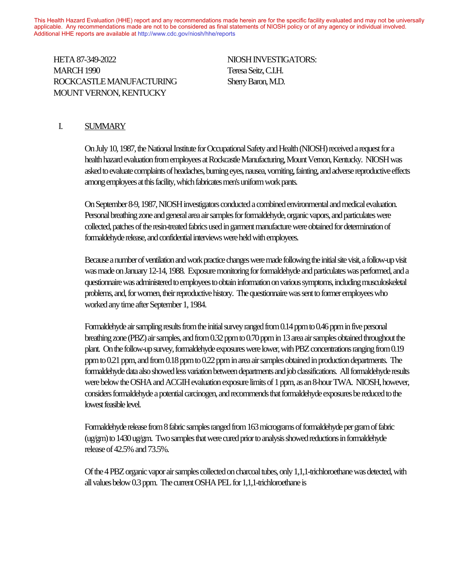This Health Hazard Evaluation (HHE) report and any recommendations made herein are for the specific facility evaluated and may not be universally applicable. Any recommendations made are not to be considered as final statements of NIOSH policy or of any agency or individual involved. Additional HHE reports are available at http://www.cdc.gov/niosh/hhe/reports Additional HHE reports are available at [http://www.cdc.gov/niosh/hhe/reports](http://www.cdc.gov/niosh/hhe)

HETA 87-349-2022 NIOSH INVESTIGATORS: MARCH 1990 Teresa Seitz, C.I.H. ROCKCASTLE MANUFACTURING Sherry Baron, M.D. MOUNT VERNON, KENTUCKY  $T_{\text{HII}}$  report and any recommendations made herein are for the specific facility evaluated and may not be universal material facility evaluated and may not be universal facility evaluated and may not be universal facil

#### I. SUMMARY

On July 10, 1987, the National Institute for Occupational Safety and Health (NIOSH) received a request for a health hazard evaluation from employees at Rockcastle Manufacturing, Mount Vernon, Kentucky. NIOSH was asked to evaluate complaints of headaches, burning eyes, nausea, vomiting, fainting, and adverse reproductive effects among employees at this facility, which fabricates men's uniform work pants.

On September 8-9, 1987, NIOSH investigators conducted a combined environmental and medical evaluation. Personal breathing zone and general area air samples for formaldehyde, organic vapors, and particulates were collected, patches of the resin-treated fabrics used in garment manufacture were obtained for determination of formaldehyde release, and confidential interviews were held with employees.

Because a number of ventilation and work practice changes were made following the initial site visit, a follow-up visit was made on January 12-14, 1988. Exposure monitoring for formaldehyde and particulates was performed, and a questionnaire was administered to employees to obtain information on various symptoms, including musculoskeletal problems, and, for women, their reproductive history. The questionnaire was sent to former employees who worked any time after September 1, 1984.

Formaldehyde air sampling results from the initial survey ranged from 0.14 ppm to 0.46 ppm in five personal breathing zone (PBZ) air samples, and from 0.32 ppm to 0.70 ppm in 13 area air samples obtained throughout the plant. On the follow-up survey, formaldehyde exposures were lower, with PBZ concentrations ranging from 0.19 ppm to 0.21 ppm, and from 0.18 ppm to 0.22 ppm in area air samples obtained in production departments. The formaldehyde data also showed less variation between departments and job classifications. All formaldehyde results were below the OSHA and ACGIH evaluation exposure limits of 1 ppm, as an 8-hour TWA. NIOSH, however, considers formaldehyde a potential carcinogen, and recommends that formaldehyde exposures be reduced to the lowest feasible level.

Formaldehyde release from 8 fabric samples ranged from 163 micrograms of formaldehyde per gram of fabric (ug/gm) to 1430 ug/gm. Two samples that were cured prior to analysis showed reductions in formaldehyde release of 42.5% and 73.5%.

Of the 4 PBZ organic vapor air samples collected on charcoal tubes, only 1,1,1-trichloroethane was detected, with all values below 0.3 ppm. The current OSHA PEL for 1,1,1-trichloroethane is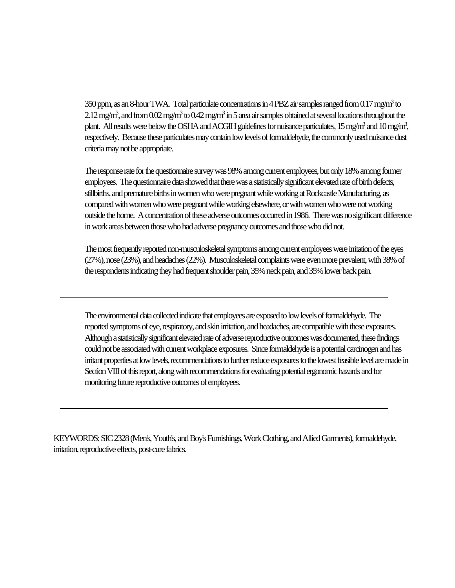350 ppm, as an 8-hour TWA. Total particulate concentrations in 4 PBZ air samples ranged from 0.17 mg/m<sup>3</sup> to  $2.12\,\rm{mg/m^3}$ , and from  $0.02\,\rm{mg/m^3}$  to  $0.42\,\rm{mg/m^3}$  in 5 area air samples obtained at several locations throughout the plant. All results were below the OSHA and ACGIH guidelines for nuisance particulates, 15 mg/m<sup>3</sup> and 10 mg/m<sup>3</sup>, respectively. Because these particulates may contain low levels of formaldehyde, the commonly used nuisance dust criteria may not be appropriate.

The response rate for the questionnaire survey was 98% among current employees, but only 18% among former employees. The questionnaire data showed that there was a statistically significant elevated rate of birth defects, stillbirths, and premature births in women who were pregnant while working at Rockcastle Manufacturing, as compared with women who were pregnant while working elsewhere, or with women who were not working outside the home. A concentration of these adverse outcomes occurred in 1986. There was no significant difference in work areas between those who had adverse pregnancy outcomes and those who did not.

The most frequently reported non-musculoskeletal symptoms among current employees were irritation of the eyes (27%), nose (23%), and headaches (22%). Musculoskeletal complaints were even more prevalent, with 38% of the respondents indicating they had frequent shoulder pain, 35% neck pain, and 35% lower back pain.

The environmental data collected indicate that employees are exposed to low levels of formaldehyde. The reported symptoms of eye, respiratory, and skin irritation, and headaches, are compatible with these exposures. Although a statistically significant elevated rate of adverse reproductive outcomes was documented, these findings could not be associated with current workplace exposures. Since formaldehyde is a potential carcinogen and has irritant properties at low levels, recommendations to further reduce exposures to the lowest feasible level are made in Section VIII of this report, along with recommendations for evaluating potential ergonomic hazards and for monitoring future reproductive outcomes of employees.

KEYWORDS: SIC 2328 (Men's, Youth's, and Boy's Furnishings, Work Clothing, and Allied Garments), formaldehyde, irritation, reproductive effects, post-cure fabrics.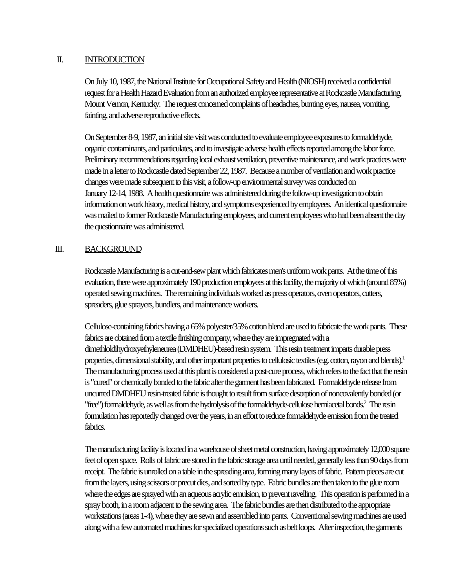#### II. INTRODUCTION

On July 10, 1987, the National Institute for Occupational Safety and Health (NIOSH) received a confidential request for a Health Hazard Evaluation from an authorized employee representative at Rockcastle Manufacturing, Mount Vernon, Kentucky. The request concerned complaints of headaches, burning eyes, nausea, vomiting, fainting, and adverse reproductive effects.

On September 8-9, 1987, an initial site visit was conducted to evaluate employee exposures to formaldehyde, organic contaminants, and particulates, and to investigate adverse health effects reported among the labor force. Preliminary recommendations regarding local exhaust ventilation, preventive maintenance, and work practices were made in a letter to Rockcastle dated September 22, 1987. Because a number of ventilation and work practice changes were made subsequent to this visit, a follow-up environmental survey was conducted on January 12-14, 1988. A health questionnaire was administered during the follow-up investigation to obtain information on work history, medical history, and symptoms experienced by employees. An identical questionnaire was mailed to former Rockcastle Manufacturing employees, and current employees who had been absent the day the questionnaire was administered.

#### III. BACKGROUND

Rockcastle Manufacturing is a cut-and-sew plant which fabricates men's uniform work pants. At the time of this evaluation, there were approximately 190 production employees at this facility, the majority of which (around 85%) operated sewing machines. The remaining individuals worked as press operators, oven operators, cutters, spreaders, glue sprayers, bundlers, and maintenance workers.

Cellulose-containing fabrics having a 65% polyester/35% cotton blend are used to fabricate the work pants. These fabrics are obtained from a textile finishing company, where they are impregnated with a dimethloldihydroxyethyleneurea (DMDHEU)-based resin system. This resin treatment imparts durable press properties, dimensional stability, and other important properties to cellulosic textiles (e.g. cotton, rayon and blends).<sup>1</sup> The manufacturing process used at this plant is considered a post-cure process, which refers to the fact that the resin is "cured" or chemically bonded to the fabric after the garment has been fabricated. Formaldehyde release from uncurred DMDHEU resin-treated fabric is thought to result from surface desorption of noncovalently bonded (or "free") formaldehyde, as well as from the hydrolysis of the formaldehyde-cellulose hemiacetal bonds.<sup>2</sup> The resin formulation has reportedly changed over the years, in an effort to reduce formaldehyde emission from the treated fabrics.

The manufacturing facility is located in a warehouse of sheet metal construction, having approximately 12,000 square feet of open space. Rolls of fabric are stored in the fabric storage area until needed, generally less than 90 days from receipt. The fabric is unrolled on a table in the spreading area, forming many layers of fabric. Pattern pieces are cut from the layers, using scissors or precut dies, and sorted by type. Fabric bundles are then taken to the glue room where the edges are sprayed with an aqueous acrylic emulsion, to prevent ravelling. This operation is performed in a spray booth, in a room adjacent to the sewing area. The fabric bundles are then distributed to the appropriate workstations (areas 1-4), where they are sewn and assembled into pants. Conventional sewing machines are used along with a few automated machines for specialized operations such as belt loops. After inspection, the garments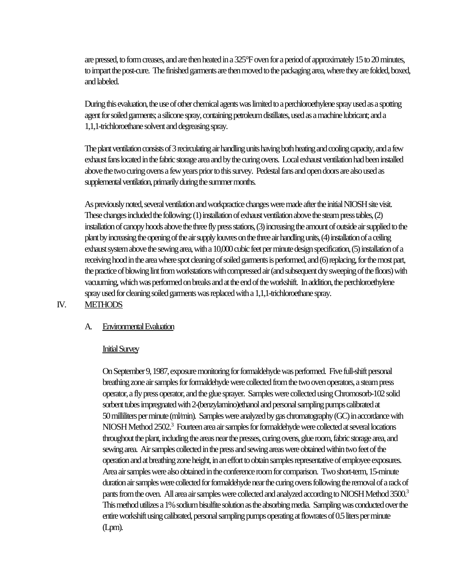are pressed, to form creases, and are then heated in a 325°F oven for a period of approximately 15 to 20 minutes, to impart the post-cure. The finished garments are then moved to the packaging area, where they are folded, boxed, and labeled.

During this evaluation, the use of other chemical agents was limited to a perchloroethylene spray used as a spotting agent for soiled garments; a silicone spray, containing petroleum distillates, used as a machine lubricant; and a 1,1,1-trichloroethane solvent and degreasing spray.

The plant ventilation consists of 3 recirculating air handling units having both heating and cooling capacity, and a few exhaust fans located in the fabric storage area and by the curing ovens. Local exhaust ventilation had been installed above the two curing ovens a few years prior to this survey. Pedestal fans and open doors are also used as supplemental ventilation, primarily during the summer months.

As previously noted, several ventilation and workpractice changes were made after the initial NIOSH site visit. These changes included the following: (1) installation of exhaust ventilation above the steam press tables, (2) installation of canopy hoods above the three fly press stations, (3) increasing the amount of outside air supplied to the plant by increasing the opening of the air supply louvres on the three air handling units, (4) installation of a ceiling exhaust system above the sewing area, with a 10,000 cubic feet per minute design specification, (5) installation of a receiving hood in the area where spot cleaning of soiled garments is performed, and (6) replacing, for the most part, the practice of blowing lint from workstations with compressed air (and subsequent dry sweeping of the floors) with vacuuming, which was performed on breaks and at the end of the workshift. In addition, the perchloroethylene spray used for cleaning soiled garments was replaced with a 1,1,1-trichloroethane spray.

# IV. METHODS

### A. Environmental Evaluation

#### Initial Survey

On September 9, 1987, exposure monitoring for formaldehyde was performed. Five full-shift personal breathing zone air samples for formaldehyde were collected from the two oven operators, a steam press operator, a fly press operator, and the glue sprayer. Samples were collected using Chromosorb-102 solid sorbent tubes impregnated with 2-(benzylamino)ethanol and personal sampling pumps calibrated at 50 milliliters per minute (ml/min). Samples were analyzed by gas chromatography (GC) in accordance with NIOSH Method 2502.<sup>3</sup> Fourteen area air samples for formaldehyde were collected at several locations throughout the plant, including the areas near the presses, curing ovens, glue room, fabric storage area, and sewing area. Air samples collected in the press and sewing areas were obtained within two feet of the operation and at breathing zone height, in an effort to obtain samples representative of employee exposures. Area air samples were also obtained in the conference room for comparison. Two short-term, 15-minute duration air samples were collected for formaldehyde near the curing ovens following the removal of a rack of pants from the oven. All area air samples were collected and analyzed according to NIOSH Method 3500.<sup>3</sup> This method utilizes a 1% sodium bisulfite solution as the absorbing media. Sampling was conducted over the entire workshift using calibrated, personal sampling pumps operating at flowrates of 0.5 liters per minute (Lpm).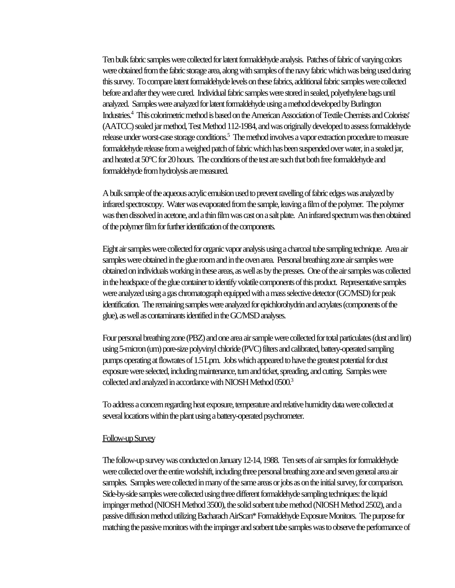Ten bulk fabric samples were collected for latent formaldehyde analysis. Patches of fabric of varying colors were obtained from the fabric storage area, along with samples of the navy fabric which was being used during this survey. To compare latent formaldehyde levels on these fabrics, additional fabric samples were collected before and after they were cured. Individual fabric samples were stored in sealed, polyethylene bags until analyzed. Samples were analyzed for latent formaldehyde using a method developed by Burlington Industries.<sup>4</sup> This colorimetric method is based on the American Association of Textile Chemists and Colorists' (AATCC) sealed jar method, Test Method 112-1984, and was originally developed to assess formaldehyde release under worst-case storage conditions.<sup>5</sup> The method involves a vapor extraction procedure to measure formaldehyde release from a weighed patch of fabric which has been suspended over water, in a sealed jar, and heated at 50°C for 20 hours. The conditions of the test are such that both free formaldehyde and formaldehyde from hydrolysis are measured.

A bulk sample of the aqueous acrylic emulsion used to prevent ravelling of fabric edges was analyzed by infrared spectroscopy. Water was evaporated from the sample, leaving a film of the polymer. The polymer was then dissolved in acetone, and a thin film was cast on a salt plate. An infrared spectrum was then obtained of the polymer film for further identification of the components.

Eight air samples were collected for organic vapor analysis using a charcoal tube sampling technique. Area air samples were obtained in the glue room and in the oven area. Personal breathing zone air samples were obtained on individuals working in these areas, as well as by the presses. One of the air samples was collected in the headspace of the glue container to identify volatile components of this product. Representative samples were analyzed using a gas chromatograph equipped with a mass selective detector (GC/MSD) for peak identification. The remaining samples were analyzed for epichlorohydrin and acrylates (components of the glue), as well as contaminants identified in the GC/MSD analyses.

Four personal breathing zone (PBZ) and one area air sample were collected for total particulates (dust and lint) using 5-micron (um) pore-size polyvinyl chloride (PVC) filters and calibrated, battery-operated sampling pumps operating at flowrates of 1.5 Lpm. Jobs which appeared to have the greatest potential for dust exposure were selected, including maintenance, turn and ticket, spreading, and cutting. Samples were collected and analyzed in accordance with NIOSH Method 0500.<sup>3</sup>

To address a concern regarding heat exposure, temperature and relative humidity data were collected at several locations within the plant using a battery-operated psychrometer.

#### Follow-up Survey

The follow-up survey was conducted on January 12-14, 1988. Ten sets of air samples for formaldehyde were collected over the entire workshift, including three personal breathing zone and seven general area air samples. Samples were collected in many of the same areas or jobs as on the initial survey, for comparison. Side-by-side samples were collected using three different formaldehyde sampling techniques: the liquid impinger method (NIOSH Method 3500), the solid sorbent tube method (NIOSH Method 2502), and a passive diffusion method utilizing Bacharach AirScan\* Formaldehyde Exposure Monitors. The purpose for matching the passive monitors with the impinger and sorbent tube samples was to observe the performance of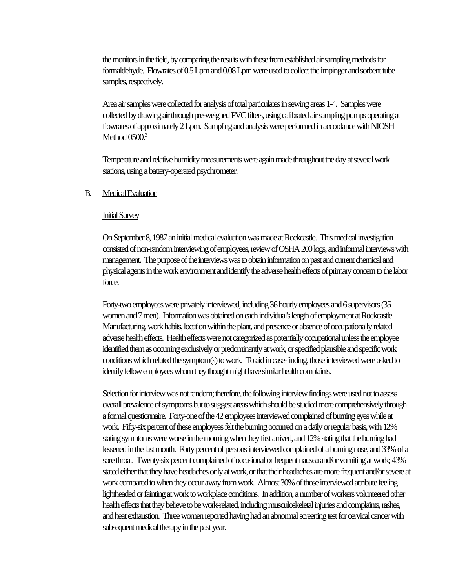the monitors in the field, by comparing the results with those from established air sampling methods for formaldehyde. Flowrates of 0.5 Lpm and 0.08 Lpm were used to collect the impinger and sorbent tube samples, respectively.

Area air samples were collected for analysis of total particulates in sewing areas 1-4. Samples were collected by drawing air through pre-weighed PVC filters, using calibrated air sampling pumps operating at flowrates of approximately 2 Lpm. Sampling and analysis were performed in accordance with NIOSH Method  $0500<sup>3</sup>$ 

Temperature and relative humidity measurements were again made throughout the day at several work stations, using a battery-operated psychrometer.

#### B. Medical Evaluation

#### Initial Survey

On September 8, 1987 an initial medical evaluation was made at Rockcastle. This medical investigation consisted of non-random interviewing of employees, review of OSHA 200 logs, and informal interviews with management. The purpose of the interviews was to obtain information on past and current chemical and physical agents in the work environment and identify the adverse health effects of primary concern to the labor force.

Forty-two employees were privately interviewed, including 36 hourly employees and 6 supervisors (35 women and 7 men). Information was obtained on each individual's length of employment at Rockcastle Manufacturing, work habits, location within the plant, and presence or absence of occupationally related adverse health effects. Health effects were not categorized as potentially occupational unless the employee identified them as occurring exclusively or predominantly at work, or specified plausible and specific work conditions which related the symptom(s) to work. To aid in case-finding, those interviewed were asked to identify fellow employees whom they thought might have similar health complaints.

Selection for interview was not random; therefore, the following interview findings were used not to assess overall prevalence of symptoms but to suggest areas which should be studied more comprehensively through a formal questionnaire. Forty-one of the 42 employees interviewed complained of burning eyes while at work. Fifty-six percent of these employees felt the burning occurred on a daily or regular basis, with 12% stating symptoms were worse in the morning when they first arrived, and 12% stating that the burning had lessened in the last month. Forty percent of persons interviewed complained of a burning nose, and 33% of a sore throat. Twenty-six percent complained of occasional or frequent nausea and/or vomiting at work; 43% stated either that they have headaches only at work, or that their headaches are more frequent and/or severe at work compared to when they occur away from work. Almost 30% of those interviewed attribute feeling lightheaded or fainting at work to workplace conditions. In addition, a number of workers volunteered other health effects that they believe to be work-related, including musculoskeletal injuries and complaints, rashes, and heat exhaustion. Three women reported having had an abnormal screening test for cervical cancer with subsequent medical therapy in the past year.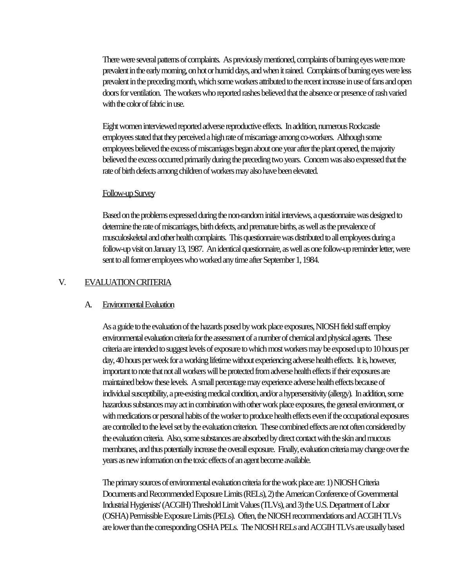There were several patterns of complaints. As previously mentioned, complaints of burning eyes were more prevalent in the early morning, on hot or humid days, and when it rained. Complaints of burning eyes were less prevalent in the preceding month, which some workers attributed to the recent increase in use of fans and open doors for ventilation. The workers who reported rashes believed that the absence or presence of rash varied with the color of fabric in use.

Eight women interviewed reported adverse reproductive effects. In addition, numerous Rockcastle employees stated that they perceived a high rate of miscarriage among co-workers. Although some employees believed the excess of miscarriages began about one year after the plant opened, the majority believed the excess occurred primarily during the preceding two years. Concern was also expressed that the rate of birth defects among children of workers may also have been elevated.

#### Follow-up Survey

Based on the problems expressed during the non-random initial interviews, a questionnaire was designed to determine the rate of miscarriages, birth defects, and premature births, as well as the prevalence of musculoskeletal and other health complaints. This questionnaire was distributed to all employees during a follow-up visit on January 13, 1987. An identical questionnaire, as well as one follow-up reminder letter, were sent to all former employees who worked any time after September 1, 1984.

#### V. EVALUATION CRITERIA

#### A. Environmental Evaluation

As a guide to the evaluation of the hazards posed by work place exposures, NIOSH field staff employ environmental evaluation criteria for the assessment of a number of chemical and physical agents. These criteria are intended to suggest levels of exposure to which most workers may be exposed up to 10 hours per day, 40 hours per week for a working lifetime without experiencing adverse health effects. It is, however, important to note that not all workers will be protected from adverse health effects if their exposures are maintained below these levels. A small percentage may experience adverse health effects because of individual susceptibility, a pre-existing medical condition, and/or a hypersensitivity (allergy). In addition, some hazardous substances may act in combination with other work place exposures, the general environment, or with medications or personal habits of the worker to produce health effects even if the occupational exposures are controlled to the level set by the evaluation criterion. These combined effects are not often considered by the evaluation criteria. Also, some substances are absorbed by direct contact with the skin and mucous membranes, and thus potentially increase the overall exposure. Finally, evaluation criteria may change over the years as new information on the toxic effects of an agent become available.

The primary sources of environmental evaluation criteria for the work place are: 1) NIOSH Criteria Documents and Recommended Exposure Limits (RELs), 2) the American Conference of Governmental Industrial Hygienists' (ACGIH) Threshold Limit Values (TLVs), and 3) the U.S. Department of Labor (OSHA) Permissible Exposure Limits (PELs). Often, the NIOSH recommendations and ACGIH TLVs are lower than the corresponding OSHA PELs. The NIOSH RELs and ACGIH TLVs are usually based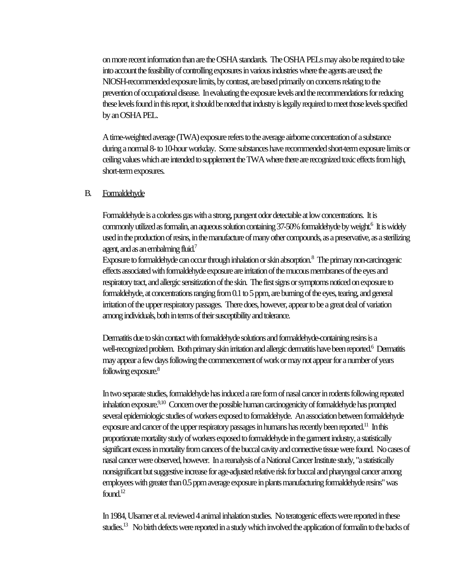on more recent information than are the OSHA standards. The OSHA PELs may also be required to take into account the feasibility of controlling exposures in various industries where the agents are used; the NIOSH-recommended exposure limits, by contrast, are based primarily on concerns relating to the prevention of occupational disease. In evaluating the exposure levels and the recommendations for reducing these levels found in this report, it should be noted that industry is legally required to meet those levels specified by an OSHA PEL.

A time-weighted average (TWA) exposure refers to the average airborne concentration of a substance during a normal 8- to 10-hour workday. Some substances have recommended short-term exposure limits or ceiling values which are intended to supplement the TWA where there are recognized toxic effects from high, short-term exposures.

#### B. Formaldehyde

Formaldehyde is a colorless gas with a strong, pungent odor detectable at low concentrations. It is commonly utilized as formalin, an aqueous solution containing 37-50% formaldehyde by weight.<sup>6</sup> It is widely used in the production of resins, in the manufacture of many other compounds, as a preservative, as a sterilizing agent, and as an embalming fluid.<sup>7</sup>

Exposure to formaldehyde can occur through inhalation or skin absorption. $^8$  The primary non-carcinogenic effects associated with formaldehyde exposure are irritation of the mucous membranes of the eyes and respiratory tract, and allergic sensitization of the skin. The first signs or symptoms noticed on exposure to formaldehyde, at concentrations ranging from 0.1 to 5 ppm, are burning of the eyes, tearing, and general irritation of the upper respiratory passages. There does, however, appear to be a great deal of variation among individuals, both in terms of their susceptibility and tolerance.

Dermatitis due to skin contact with formaldehyde solutions and formaldehyde-containing resins is a well-recognized problem. Both primary skin irritation and allergic dermatitis have been reported.<sup>6</sup> Dermatitis may appear a few days following the commencement of work or may not appear for a number of years following exposure.<sup>8</sup>

In two separate studies, formaldehyde has induced a rare form of nasal cancer in rodents following repeated inhalation exposure.<sup>9,10</sup> Concern over the possible human carcinogenicity of formaldehyde has prompted several epidemiologic studies of workers exposed to formaldehyde. An association between formaldehyde exposure and cancer of the upper respiratory passages in humans has recently been reported.<sup>11</sup> In this proportionate mortality study of workers exposed to formaldehyde in the garment industry, a statistically significant excess in mortality from cancers of the buccal cavity and connective tissue were found. No cases of nasal cancer were observed, however. In a reanalysis of a National Cancer Institute study, "a statistically nonsignificant but suggestive increase for age-adjusted relative risk for buccal and pharyngeal cancer among employees with greater than 0.5 ppm average exposure in plants manufacturing formaldehyde resins" was found. $12$ 

In 1984, Ulsamer et al. reviewed 4 animal inhalation studies. No teratogenic effects were reported in these studies.13 No birth defects were reported in a study which involved the application of formalin to the backs of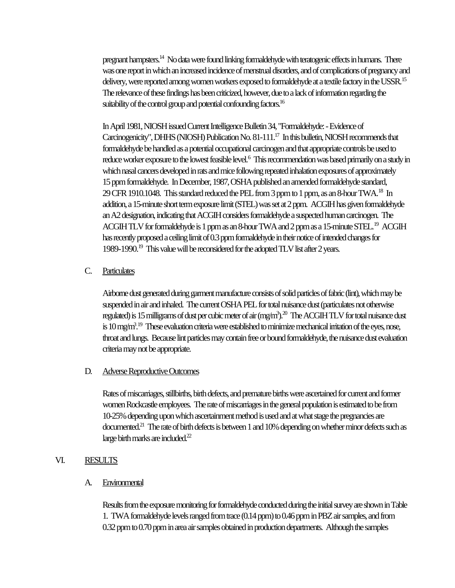pregnant hampsters.<sup>14</sup> No data were found linking formaldehyde with teratogenic effects in humans. There was one report in which an increased incidence of menstrual disorders, and of complications of pregnancy and delivery, were reported among women workers exposed to formaldehyde at a textile factory in the USSR.<sup>15</sup> The relevance of these findings has been criticized, however, due to a lack of information regarding the suitability of the control group and potential confounding factors.<sup>16</sup>

In April 1981, NIOSH issued Current Intelligence Bulletin 34, "Formaldehyde: - Evidence of Carcinogenicity", DHHS (NIOSH) Publication No. 81-111.<sup>17</sup> In this bulletin, NIOSH recommends that formaldehyde be handled as a potential occupational carcinogen and that appropriate controls be used to reduce worker exposure to the lowest feasible level.<sup>6</sup> This recommendation was based primarily on a study in which nasal cancers developed in rats and mice following repeated inhalation exposures of approximately 15 ppm formaldehyde. In December, 1987, OSHA published an amended formaldehyde standard, 29 CFR 1910.1048. This standard reduced the PEL from 3 ppm to 1 ppm, as an 8-hour TWA.<sup>18</sup> In addition, a 15-minute short term exposure limit (STEL) was set at 2 ppm. ACGIH has given formaldehyde an A2 designation, indicating that ACGIH considers formaldehyde a suspected human carcinogen. The ACGIH TLV for formaldehyde is 1 ppm as an 8-hour TWA and 2 ppm as a 15-minute STEL.<sup>19</sup> ACGIH has recently proposed a ceiling limit of 0.3 ppm formaldehyde in their notice of intended changes for 1989-1990.<sup>19</sup> This value will be reconsidered for the adopted TLV list after 2 years.

### C. Particulates

Airborne dust generated during garment manufacture consists of solid particles of fabric (lint), which may be suspended in air and inhaled. The current OSHA PEL for total nuisance dust (particulates not otherwise regulated) is 15 milligrams of dust per cubic meter of air (mg/m<sup>3</sup>). $^{20}$  The ACGIH TLV for total nuisance dust is  $10$  mg/m<sup>3</sup>.<sup>19</sup> These evaluation criteria were established to minimize mechanical irritation of the eyes, nose, throat and lungs. Because lint particles may contain free or bound formaldehyde, the nuisance dust evaluation criteria may not be appropriate.

#### D. Adverse Reproductive Outcomes

Rates of miscarriages, stillbirths, birth defects, and premature births were ascertained for current and former women Rockcastle employees. The rate of miscarriages in the general population is estimated to be from 10-25% depending upon which ascertainment method is used and at what stage the pregnancies are documented.<sup>21</sup> The rate of birth defects is between 1 and 10% depending on whether minor defects such as large birth marks are included.<sup>22</sup>

#### VI. RESULTS

#### A. Environmental

Results from the exposure monitoring for formaldehyde conducted during the initial survey are shown in Table 1. TWA formaldehyde levels ranged from trace (0.14 ppm) to 0.46 ppm in PBZ air samples, and from 0.32 ppm to 0.70 ppm in area air samples obtained in production departments. Although the samples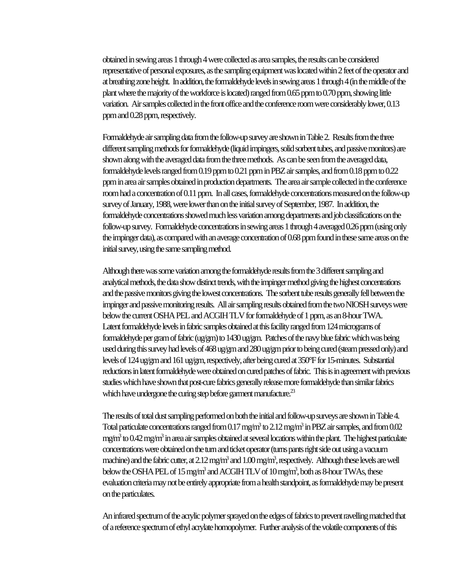obtained in sewing areas 1 through 4 were collected as area samples, the results can be considered representative of personal exposures, as the sampling equipment was located within 2 feet of the operator and at breathing zone height. In addition, the formaldehyde levels in sewing areas 1 through 4 (in the middle of the plant where the majority of the workforce is located) ranged from 0.65 ppm to 0.70 ppm, showing little variation. Air samples collected in the front office and the conference room were considerably lower, 0.13 ppm and 0.28 ppm, respectively.

Formaldehyde air sampling data from the follow-up survey are shown in Table 2. Results from the three different sampling methods for formaldehyde (liquid impingers, solid sorbent tubes, and passive monitors) are shown along with the averaged data from the three methods. As can be seen from the averaged data, formaldehyde levels ranged from 0.19 ppm to 0.21 ppm in PBZ air samples, and from 0.18 ppm to 0.22 ppm in area air samples obtained in production departments. The area air sample collected in the conference room had a concentration of 0.11 ppm. In all cases, formaldehyde concentrations measured on the follow-up survey of January, 1988, were lower than on the initial survey of September, 1987. In addition, the formaldehyde concentrations showed much less variation among departments and job classifications on the follow-up survey. Formaldehyde concentrations in sewing areas 1 through 4 averaged 0.26 ppm (using only the impinger data), as compared with an average concentration of 0.68 ppm found in these same areas on the initial survey, using the same sampling method.

Although there was some variation among the formaldehyde results from the 3 different sampling and analytical methods, the data show distinct trends, with the impinger method giving the highest concentrations and the passive monitors giving the lowest concentrations. The sorbent tube results generally fell between the impinger and passive monitoring results. All air sampling results obtained from the two NIOSH surveys were below the current OSHA PEL and ACGIH TLV for formaldehyde of 1 ppm, as an 8-hour TWA. Latent formaldehyde levels in fabric samples obtained at this facility ranged from 124 micrograms of formaldehyde per gram of fabric (ug/gm) to 1430 ug/gm. Patches of the navy blue fabric which was being used during this survey had levels of 468 ug/gm and 280 ug/gm prior to being cured (steam pressed only) and levels of 124 ug/gm and 161 ug/gm, respectively, after being cured at 350°F for 15-minutes. Substantial reductions in latent formaldehyde were obtained on cured patches of fabric. This is in agreement with previous studies which have shown that post-cure fabrics generally release more formaldehyde than similar fabrics which have undergone the curing step before garment manufacture.<sup>23</sup>

The results of total dust sampling performed on both the initial and follow-up surveys are shown in Table 4. Total particulate concentrations ranged from  $0.17$  mg/m<sup>3</sup> to  $2.12$  mg/m<sup>3</sup> in PBZ air samples, and from  $0.02$ mg/m<sup>3</sup> to 0.42 mg/m<sup>3</sup> in area air samples obtained at several locations within the plant. The highest particulate concentrations were obtained on the turn and ticket operator (turns pants right side out using a vacuum machine) and the fabric cutter, at 2.12 mg/m<sup>3</sup> and  $1.00$  mg/m<sup>3</sup>, respectively. Although these levels are well below the OSHA PEL of 15 mg/m<sup>3</sup> and ACGIH TLV of 10 mg/m<sup>3</sup>, both as 8-hour TWAs, these evaluation criteria may not be entirely appropriate from a health standpoint, as formaldehyde may be present on the particulates.

An infrared spectrum of the acrylic polymer sprayed on the edges of fabrics to prevent ravelling matched that of a reference spectrum of ethyl acrylate homopolymer. Further analysis of the volatile components of this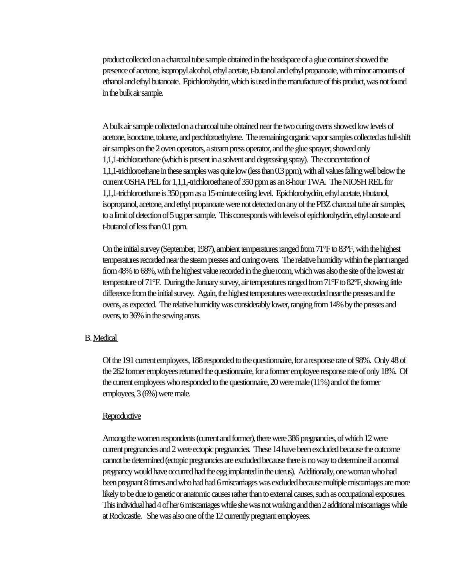product collected on a charcoal tube sample obtained in the headspace of a glue container showed the presence of acetone, isopropyl alcohol, ethyl acetate, t-butanol and ethyl propanoate, with minor amounts of ethanol and ethyl butanoate. Epichlorohydrin, which is used in the manufacture of this product, was not found in the bulk air sample.

A bulk air sample collected on a charcoal tube obtained near the two curing ovens showed low levels of acetone, isooctane, toluene, and perchloroethylene. The remaining organic vapor samples collected as full-shift air samples on the 2 oven operators, a steam press operator, and the glue sprayer, showed only 1,1,1-trichloroethane (which is present in a solvent and degreasing spray). The concentration of 1,1,1-trichloroethane in these samples was quite low (less than 0.3 ppm), with all values falling well below the current OSHA PEL for 1,1,1,-trichloroethane of 350 ppm as an 8-hour TWA. The NIOSH REL for 1,1,1-trichloroethane is 350 ppm as a 15-minute ceiling level. Epichlorohydrin, ethyl acetate, t-butanol, isopropanol, acetone, and ethyl propanoate were not detected on any of the PBZ charcoal tube air samples, to a limit of detection of 5 ug per sample. This corresponds with levels of epichlorohydrin, ethyl acetate and t-butanol of less than 0.1 ppm.

On the initial survey (September, 1987), ambient temperatures ranged from 71°F to 83°F, with the highest temperatures recorded near the steam presses and curing ovens. The relative humidity within the plant ranged from 48% to 68%, with the highest value recorded in the glue room, which was also the site of the lowest air temperature of 71°F. During the January survey, air temperatures ranged from 71°F to 82°F, showing little difference from the initial survey. Again, the highest temperatures were recorded near the presses and the ovens, as expected. The relative humidity was considerably lower, ranging from 14% by the presses and ovens, to 36% in the sewing areas.

#### B. Medical

Of the 191 current employees, 188 responded to the questionnaire, for a response rate of 98%. Only 48 of the 262 former employees returned the questionnaire, for a former employee response rate of only 18%. Of the current employees who responded to the questionnaire, 20 were male (11%) and of the former employees, 3 (6%) were male.

#### **Reproductive**

Among the women respondents (current and former), there were 386 pregnancies, of which 12 were current pregnancies and 2 were ectopic pregnancies. These 14 have been excluded because the outcome cannot be determined (ectopic pregnancies are excluded because there is no way to determine if a normal pregnancy would have occurred had the egg implanted in the uterus). Additionally, one woman who had been pregnant 8 times and who had had 6 miscarriages was excluded because multiple miscarriages are more likely to be due to genetic or anatomic causes rather than to external causes, such as occupational exposures. This individual had 4 of her 6 miscarriages while she was not working and then 2 additional miscarriages while at Rockcastle. She was also one of the 12 currently pregnant employees.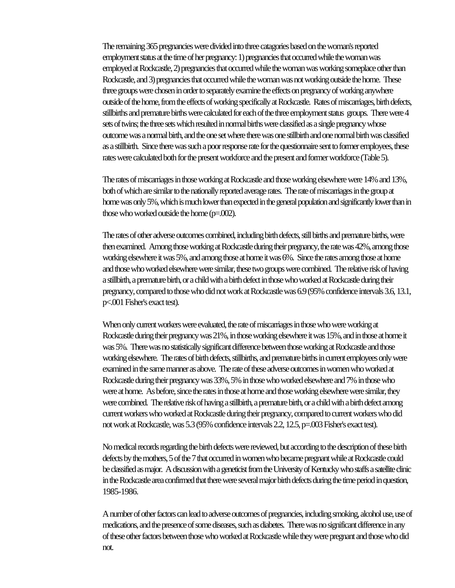The remaining 365 pregnancies were divided into three catagories based on the woman's reported employment status at the time of her pregnancy: 1) pregnancies that occurred while the woman was employed at Rockcastle, 2) pregnancies that occurred while the woman was working someplace other than Rockcastle, and 3) pregnancies that occurred while the woman was not working outside the home. These three groups were chosen in order to separately examine the effects on pregnancy of working anywhere outside of the home, from the effects of working specifically at Rockcastle. Rates of miscarriages, birth defects, stillbirths and premature births were calculated for each of the three employment status groups. There were 4 sets of twins; the three sets which resulted in normal births were classified as a single pregnancy whose outcome was a normal birth, and the one set where there was one stillbirth and one normal birth was classified as a stillbirth. Since there was such a poor response rate for the questionnaire sent to former employees, these rates were calculated both for the present workforce and the present and former workforce (Table 5).

The rates of miscarriages in those working at Rockcastle and those working elsewhere were 14% and 13%, both of which are similar to the nationally reported average rates. The rate of miscarriages in the group at home was only 5%, which is much lower than expected in the general population and significantly lower than in those who worked outside the home (p=.002).

The rates of other adverse outcomes combined, including birth defects, still births and premature births, were then examined. Among those working at Rockcastle during their pregnancy, the rate was 42%, among those working elsewhere it was 5%, and among those at home it was 6%. Since the rates among those at home and those who worked elsewhere were similar, these two groups were combined. The relative risk of having a stillbirth, a premature birth, or a child with a birth defect in those who worked at Rockcastle during their pregnancy, compared to those who did not work at Rockcastle was 6.9 (95% confidence intervals 3.6, 13.1, p<.001 Fisher's exact test).

When only current workers were evaluated, the rate of miscarriages in those who were working at Rockcastle during their pregnancy was 21%, in those working elsewhere it was 15%, and in those at home it was 5%. There was no statistically significant difference between those working at Rockcastle and those working elsewhere. The rates of birth defects, stillbirths, and premature births in current employees only were examined in the same manner as above. The rate of these adverse outcomes in women who worked at Rockcastle during their pregnancy was 33%, 5% in those who worked elsewhere and 7% in those who were at home. As before, since the rates in those at home and those working elsewhere were similar, they were combined. The relative risk of having a stillbirth, a premature birth, or a child with a birth defect among current workers who worked at Rockcastle during their pregnancy, compared to current workers who did not work at Rockcastle, was 5.3 (95% confidence intervals 2.2, 12.5, p=.003 Fisher's exact test).

No medical records regarding the birth defects were reviewed, but according to the description of these birth defects by the mothers, 5 of the 7 that occurred in women who became pregnant while at Rockcastle could be classified as major. A discussion with a geneticist from the University of Kentucky who staffs a satellite clinic in the Rockcastle area confirmed that there were several major birth defects during the time period in question, 1985-1986.

A number of other factors can lead to adverse outcomes of pregnancies, including smoking, alcohol use, use of medications, and the presence of some diseases, such as diabetes. There was no significant difference in any of these other factors between those who worked at Rockcastle while they were pregnant and those who did not.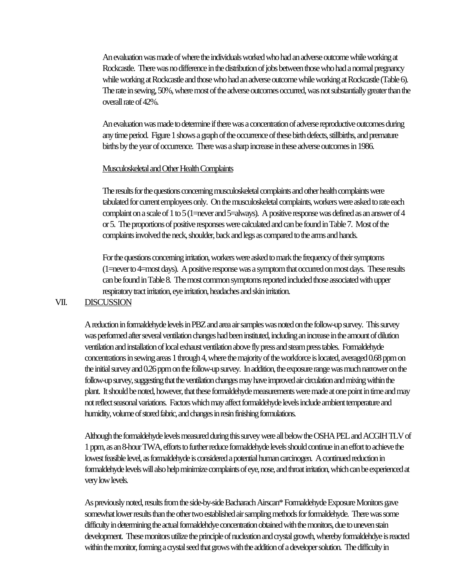An evaluation was made of where the individuals worked who had an adverse outcome while working at Rockcastle. There was no difference in the distribution of jobs between those who had a normal pregnancy while working at Rockcastle and those who had an adverse outcome while working at Rockcastle (Table 6). The rate in sewing, 50%, where most of the adverse outcomes occurred, was not substantially greater than the overall rate of 42%.

An evaluation was made to determine if there was a concentration of adverse reproductive outcomes during any time period. Figure 1 shows a graph of the occurrence of these birth defects, stillbirths, and premature births by the year of occurrence. There was a sharp increase in these adverse outcomes in 1986.

#### Musculoskeletal and Other Health Complaints

The results for the questions concerning musculoskeletal complaints and other health complaints were tabulated for current employees only. On the musculoskeletal complaints, workers were asked to rate each complaint on a scale of 1 to 5 (1=never and 5=always). A positive response was defined as an answer of 4 or 5. The proportions of positive responses were calculated and can be found in Table 7. Most of the complaints involved the neck, shoulder, back and legs as compared to the arms and hands.

For the questions concerning irritation, workers were asked to mark the frequency of their symptoms (1=never to 4=most days). A positive response was a symptom that occurred on most days. These results can be found in Table 8. The most common symptoms reported included those associated with upper respiratory tract irritation, eye irritation, headaches and skin irritation.

### VII. DISCUSSION

A reduction in formaldehyde levels in PBZ and area air samples was noted on the follow-up survey. This survey was performed after several ventilation changes had been instituted, including an increase in the amount of dilution ventilation and installation of local exhaust ventilation above fly press and steam press tables. Formaldehyde concentrations in sewing areas 1 through 4, where the majority of the workforce is located, averaged 0.68 ppm on the initial survey and 0.26 ppm on the follow-up survey. In addition, the exposure range was much narrower on the follow-up survey, suggesting that the ventilation changes may have improved air circulation and mixing within the plant. It should be noted, however, that these formaldehyde measurements were made at one point in time and may not reflect seasonal variations. Factors which may affect formaldehyde levels include ambient temperature and humidity, volume of stored fabric, and changes in resin finishing formulations.

Although the formaldehyde levels measured during this survey were all below the OSHA PEL and ACGIH TLV of 1 ppm, as an 8-hour TWA, efforts to further reduce formaldehyde levels should continue in an effort to achieve the lowest feasible level, as formaldehyde is considered a potential human carcinogen. A continued reduction in formaldehyde levels will also help minimize complaints of eye, nose, and throat irritation, which can be experienced at very low levels.

As previously noted, results from the side-by-side Bacharach Airscan\* Formaldehyde Exposure Monitors gave somewhat lower results than the other two established air sampling methods for formaldehyde. There was some difficulty in determining the actual formaldehdye concentration obtained with the monitors, due to uneven stain development. These monitors utilize the principle of nucleation and crystal growth, whereby formaldehdye is reacted within the monitor, forming a crystal seed that grows with the addition of a developer solution. The difficulty in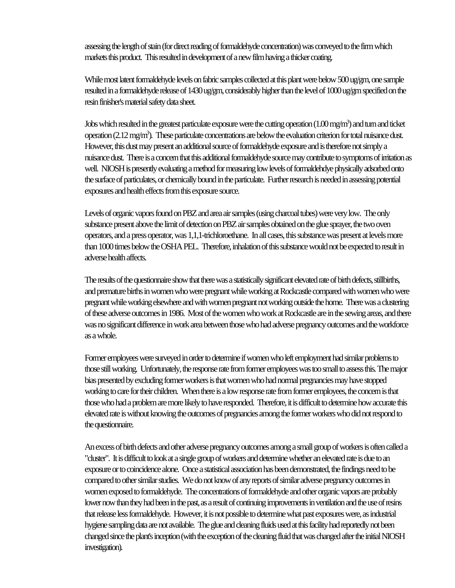assessing the length of stain (for direct reading of formaldehyde concentration) was conveyed to the firm which markets this product. This resulted in development of a new film having a thicker coating.

While most latent formaldehyde levels on fabric samples collected at this plant were below 500 ug/gm, one sample resulted in a formaldehyde release of 1430 ug/gm, considerably higher than the level of 1000 ug/gm specified on the resin finisher's material safety data sheet.

Jobs which resulted in the greatest particulate exposure were the cutting operation  $(1.00 \text{ mg/m}^3)$  and turn and ticket operation (2.12 mg/m<sup>3</sup>). These particulate concentrations are below the evaluation criterion for total nuisance dust. However, this dust may present an additional source of formaldehyde exposure and is therefore not simply a nuisance dust. There is a concern that this additional formaldehyde source may contribute to symptoms of irritation as well. NIOSH is presently evaluating a method for measuring low levels of formaldehdye physically adsorbed onto the surface of particulates, or chemically bound in the particulate. Further research is needed in assessing potential exposures and health effects from this exposure source.

Levels of organic vapors found on PBZ and area air samples (using charcoal tubes) were very low. The only substance present above the limit of detection on PBZ air samples obtained on the glue sprayer, the two oven operators, and a press operator, was 1,1,1-trichloroethane. In all cases, this substance was present at levels more than 1000 times below the OSHA PEL. Therefore, inhalation of this substance would not be expected to result in adverse health affects.

The results of the questionnaire show that there was a statistically significant elevated rate of birth defects, stillbirths, and premature births in women who were pregnant while working at Rockcastle compared with women who were pregnant while working elsewhere and with women pregnant not working outside the home. There was a clustering of these adverse outcomes in 1986. Most of the women who work at Rockcastle are in the sewing areas, and there was no significant difference in work area between those who had adverse pregnancy outcomes and the workforce as a whole.

Former employees were surveyed in order to determine if women who left employment had similar problems to those still working. Unfortunately, the response rate from former employees was too small to assess this. The major bias presented by excluding former workers is that women who had normal pregnancies may have stopped working to care for their children. When there is a low response rate from former employees, the concern is that those who had a problem are more likely to have responded. Therefore, it is difficult to determine how accurate this elevated rate is without knowing the outcomes of pregnancies among the former workers who did not respond to the questionnaire.

An excess of birth defects and other adverse pregnancy outcomes among a small group of workers is often called a "cluster". It is difficult to look at a single group of workers and determine whether an elevated rate is due to an exposure or to coincidence alone. Once a statistical association has been demonstrated, the findings need to be compared to other similar studies. We do not know of any reports of similar adverse pregnancy outcomes in women exposed to formaldehyde. The concentrations of formaldehyde and other organic vapors are probably lower now than they had been in the past, as a result of continuing improvements in ventilation and the use of resins that release less formaldehyde. However, it is not possible to determine what past exposures were, as industrial hygiene sampling data are not available. The glue and cleaning fluids used at this facility had reportedly not been changed since the plant's inception (with the exception of the cleaning fluid that was changed after the initial NIOSH investigation).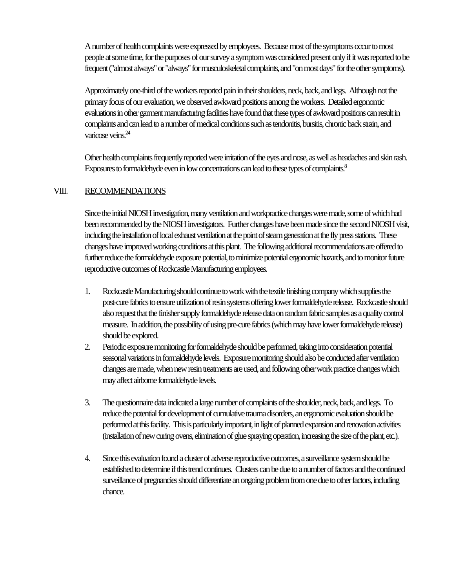A number of health complaints were expressed by employees. Because most of the symptoms occur to most people at some time, for the purposes of our survey a symptom was considered present only if it was reported to be frequent ("almost always" or "always" for musculoskeletal complaints, and "on most days" for the other symptoms).

Approximately one-third of the workers reported pain in their shoulders, neck, back, and legs. Although not the primary focus of our evaluation, we observed awkward positions among the workers. Detailed ergonomic evaluations in other garment manufacturing facilities have found that these types of awkward positions can result in complaints and can lead to a number of medical conditions such as tendonitis, bursitis, chronic back strain, and varicose veins.<sup>24</sup>

Other health complaints frequently reported were irritation of the eyes and nose, as well as headaches and skin rash. Exposures to formaldehyde even in low concentrations can lead to these types of complaints.<sup>8</sup>

### VIII. RECOMMENDATIONS

Since the initial NIOSH investigation, many ventilation and workpractice changes were made, some of which had been recommended by the NIOSH investigators. Further changes have been made since the second NIOSH visit, including the installation of local exhaust ventilation at the point of steam generation at the fly press stations. These changes have improved working conditions at this plant. The following additional recommendations are offered to further reduce the formaldehyde exposure potential, to minimize potential ergonomic hazards, and to monitor future reproductive outcomes of Rockcastle Manufacturing employees.

- 1. Rockcastle Manufacturing should continue to work with the textile finishing company which supplies the post-cure fabrics to ensure utilization of resin systems offering lower formaldehyde release. Rockcastle should also request that the finisher supply formaldehyde release data on random fabric samples as a quality control measure. In addition, the possibility of using pre-cure fabrics (which may have lower formaldehyde release) should be explored.
- 2. Periodic exposure monitoring for formaldehyde should be performed, taking into consideration potential seasonal variations in formaldehyde levels. Exposure monitoring should also be conducted after ventilation changes are made, when new resin treatments are used, and following other work practice changes which may affect airborne formaldehyde levels.
- 3. The questionnaire data indicated a large number of complaints of the shoulder, neck, back, and legs. To reduce the potential for development of cumulative trauma disorders, an ergonomic evaluation should be performed at this facility. This is particularly important, in light of planned expansion and renovation activities (installation of new curing ovens, elimination of glue spraying operation, increasing the size of the plant, etc.).
- 4. Since this evaluation found a cluster of adverse reproductive outcomes, a surveillance system should be established to determine if this trend continues. Clusters can be due to a number of factors and the continued surveillance of pregnancies should differentiate an ongoing problem from one due to other factors, including chance.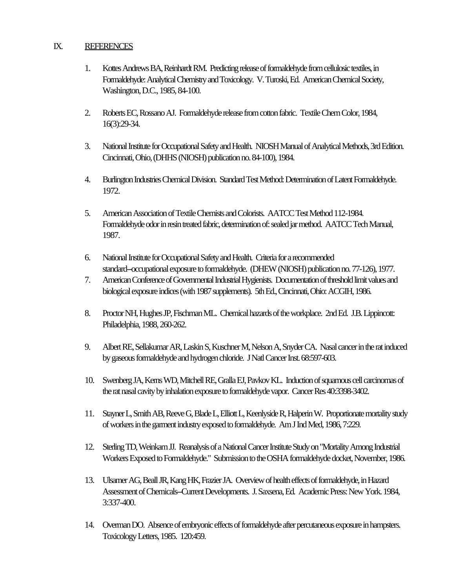#### IX. REFERENCES

- 1. Kottes Andrews BA, Reinhardt RM. Predicting release of formaldehyde from cellulosic textiles, in Formaldehyde: Analytical Chemistry and Toxicology. V. Turoski, Ed. American Chemical Society, Washington, D.C., 1985, 84-100.
- 2. Roberts EC, Rossano AJ. Formaldehyde release from cotton fabric. Textile Chem Color, 1984, 16(3):29-34.
- 3. National Institute for Occupational Safety and Health. NIOSH Manual of Analytical Methods, 3rd Edition. Cincinnati, Ohio, (DHHS (NIOSH) publication no. 84-100), 1984.
- 4. Burlington Industries Chemical Division. Standard Test Method: Determination of Latent Formaldehyde. 1972.
- 5. American Association of Textile Chemists and Colorists. AATCC Test Method 112-1984. Formaldehyde odor in resin treated fabric, determination of: sealed jar method. AATCC Tech Manual, 1987.
- 6. National Institute for Occupational Safety and Health. Criteria for a recommended standard--occupational exposure to formaldehyde. (DHEW (NIOSH) publication no. 77-126), 1977.
- 7. American Conference of Governmental Industrial Hygienists. Documentation of threshold limit values and biological exposure indices (with 1987 supplements). 5th Ed., Cincinnati, Ohio: ACGIH, 1986.
- 8. Proctor NH, Hughes JP, Fischman ML. Chemical hazards of the workplace. 2nd Ed. J.B. Lippincott: Philadelphia, 1988, 260-262.
- 9. Albert RE, Sellakumar AR, Laskin S, Kuschner M, Nelson A, Snyder CA. Nasal cancer in the rat induced by gaseous formaldehyde and hydrogen chloride. J Natl Cancer Inst. 68:597-603.
- 10. Swenberg JA, Kerns WD, Mitchell RE, Gralla EJ, Pavkov KL. Induction of squamous cell carcinomas of the rat nasal cavity by inhalation exposure to formaldehyde vapor. Cancer Res 40:3398-3402.
- 11. Stayner L, Smith AB, Reeve G, Blade L, Elliott L, Keenlyside R, Halperin W. Proportionate mortality study of workers in the garment industry exposed to formaldehyde. Am J Ind Med, 1986, 7:229.
- 12. Sterling TD, Weinkam JJ. Reanalysis of a National Cancer Institute Study on "Mortality Among Industrial Workers Exposed to Formaldehyde." Submission to the OSHA formaldehyde docket, November, 1986.
- 13. Ulsamer AG, Beall JR, Kang HK, Frazier JA. Overview of health effects of formaldehyde, in Hazard Assessment of Chemicals-Current Developments. J. Saxsena, Ed. Academic Press: New York. 1984, 3:337-400.
- 14. Overman DO. Absence of embryonic effects of formaldehyde after percutaneous exposure in hampsters. Toxicology Letters, 1985. 120:459.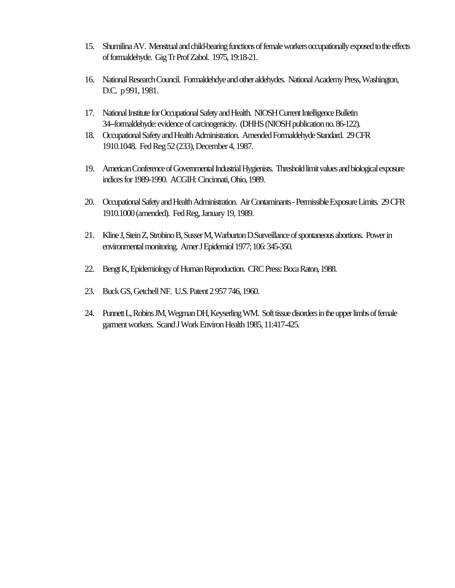- 15. Shumilina AV. Menstrual and child-bearing functions of female workers occupationally exposed to the effects of formaldehyde. Gig Tr Prof Zabol. 1975, 19:18-21.
- 16. National Research Council. Formaldehdye and other aldehydes. National Academy Press, Washington, D.C. p 991, 1981.
- 17. National Institute for Occupational Safety and Health. NIOSH Current Intelligence Bulletin 34--formaldehyde: evidence of carcinogenicity. (DHHS (NIOSH publication no. 86-122).
- 18. Occupational Safety and Health Administration. Amended Formaldehyde Standard. 29 CFR 1910.1048. Fed Reg 52 (233), December 4, 1987.
- 19. American Conference of Governmental Industrial Hygienists. Threshold limit values and biological exposure indices for 1989-1990. ACGIH: Cincinnati, Ohio, 1989.
- 20. Occupational Safety and Health Administration. Air Contaminants Permissible Exposure Limits. 29 CFR 1910.1000 (amended). Fed Reg, January 19, 1989.
- 21. Kline J, Stein Z, Strobino B, Susser M, Warburton D.Surveillance of spontaneous abortions. Power in environmental monitoring. Amer J Epidemiol 1977; 106: 345-350.
- 22. Bengt K, Epidemiology of Human Reproduction. CRC Press: Boca Raton, 1988.
- 23. Buck GS, Getchell NF. U.S. Patent 2 957 746, 1960.
- 24. Punnett L, Robins JM, Wegman DH, Keyserling WM. Soft tissue disorders in the upper limbs of female garment workers. Scand J Work Environ Health 1985, 11:417-425.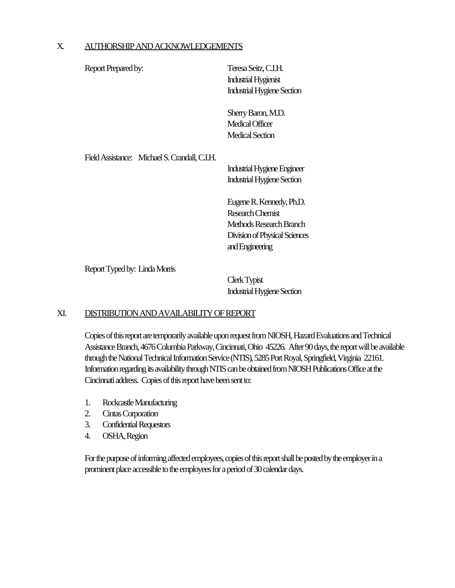#### X. AUTHORSHIP AND ACKNOWLEDGEMENTS

| Report Prepared by:                           | Teresa Seitz, C.I.H.<br><b>Industrial Hygienist</b><br><b>Industrial Hygiene Section</b>                                    |
|-----------------------------------------------|-----------------------------------------------------------------------------------------------------------------------------|
|                                               | Sherry Baron, M.D.<br>Medical Officer<br><b>Medical Section</b>                                                             |
| Field Assistance: Michael S. Crandall, C.I.H. | Industrial Hygiene Engineer<br><b>Industrial Hygiene Section</b>                                                            |
|                                               | Eugene R. Kennedy, Ph.D.<br>Research Chemist<br>Methods Research Branch<br>Division of Physical Sciences<br>and Engineering |

Report Typed by: Linda Morris

Clerk Typist Industrial Hygiene Section

#### XI. DISTRIBUTION AND AVAILABILITY OF REPORT

Copies of this report are temporarily available upon request from NIOSH, Hazard Evaluations and Technical Assistance Branch, 4676 Columbia Parkway, Cincinnati, Ohio 45226. After 90 days, the report will be available through the National Technical Information Service (NTIS), 5285 Port Royal, Springfield, Virginia 22161. Information regarding its availability through NTIS can be obtained from NIOSH Publications Office at the Cincinnati address. Copies of this report have been sent to:

- 1. Rockcastle Manufacturing
- 2. Cintas Corporation
- 3. Confidential Requestors
- 4. OSHA, Region

For the purpose of informing affected employees, copies of this report shall be posted by the employer in a prominent place accessible to the employees for a period of 30 calendar days.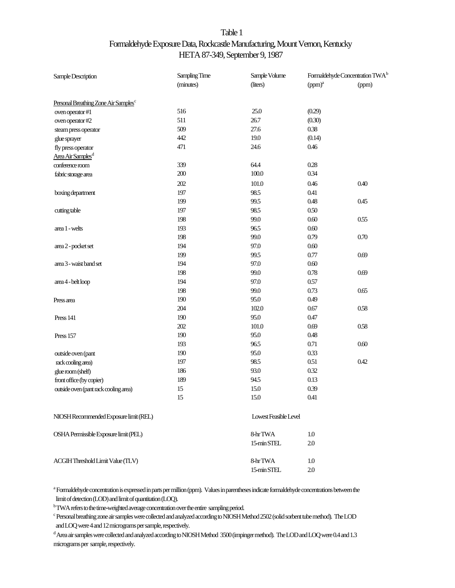# Table 1 Formaldehyde Exposure Data, Rockcastle Manufacturing, Mount Vernon, Kentucky HETA 87-349, September 9, 1987

| Sample Description                               | Sampling Time | Sample Volume         |                    | Formaldehyde Concentration TWA <sup>b</sup> |
|--------------------------------------------------|---------------|-----------------------|--------------------|---------------------------------------------|
|                                                  | (minutes)     | (liters)              | (ppm) <sup>a</sup> | (ppm)                                       |
| Personal Breathing Zone Air Samples <sup>c</sup> |               |                       |                    |                                             |
| oven operator #1                                 | 516           | 25.0                  | (0.29)             |                                             |
| oven operator #2                                 | 511           | 26.7                  | (0.30)             |                                             |
| steam press operator                             | 509           | 27.6                  | 0.38               |                                             |
| glue sprayer                                     | 442           | 19.0                  | (0.14)             |                                             |
| fly press operator                               | 471           | 24.6                  | 0.46               |                                             |
| Area Air Samples <sup>d</sup>                    |               |                       |                    |                                             |
| conference room                                  | 339           | 64.4                  | 0.28               |                                             |
| fabric storage area                              | 200           | $100.0$               | 0.34               |                                             |
|                                                  | 202           | 101.0                 | 0.46               | 0.40                                        |
| boxing department                                | 197           | 98.5                  | 0.41               |                                             |
|                                                  | 199           | 99.5                  | 0.48               | 0.45                                        |
| cutting table                                    | 197           | 98.5                  | 0.50               |                                             |
|                                                  | 198           | 99.0                  | 0.60               | 0.55                                        |
| area 1 - welts                                   | 193           | 96.5                  | 0.60               |                                             |
|                                                  | 198           | 99.0                  | 0.79               | 0.70                                        |
| area 2 - pocket set                              | 194           | 97.0                  | 0.60               |                                             |
|                                                  | 199           | 99.5                  | 0.77               | 0.69                                        |
| area 3 - waist band set                          | 194           | 97.0                  | 0.60               |                                             |
|                                                  | 198           | 99.0                  | 0.78               | 0.69                                        |
| area 4 - belt loop                               | 194           | 97.0                  | 0.57               |                                             |
|                                                  | 198           | 99.0                  | 0.73               | 0.65                                        |
| Press area                                       | 190           | 95.0                  | 0.49               |                                             |
|                                                  | 204           | 102.0                 | 0.67               | 0.58                                        |
| Press 141                                        | 190           | 95.0                  | 0.47               |                                             |
|                                                  | 202           | 101.0                 | 0.69               | 0.58                                        |
| Press 157                                        | 190           | 95.0                  | 0.48               |                                             |
|                                                  | 193           | 96.5                  | 0.71               | 0.60                                        |
| outside oven (pant                               | 190           | 95.0                  | 0.33               |                                             |
| rack cooling area)                               | 197           | 98.5                  | 0.51               | 0.42                                        |
| glue room (shelf)                                | 186           | 93.0                  | 0.32               |                                             |
| front office (by copier)                         | 189           | 94.5                  | 0.13               |                                             |
| outside oven (pant rack cooling area)            | 15            | 15.0                  | 0.39               |                                             |
|                                                  | 15            | 15.0                  | 0.41               |                                             |
| NIOSH Recommended Exposure limit (REL)           |               | Lowest Feasible Level |                    |                                             |
| OSHA Permissible Exposure limit (PEL)            |               | 8-hrTWA               | 1.0                |                                             |
|                                                  |               | 15-min STEL           | 2.0                |                                             |
| ACGIH Threshold Limit Value (TLV)                |               | 8-hrTWA               | $1.0\,$            |                                             |
|                                                  |               | 15-min STEL           | 2.0                |                                             |

a Formaldehyde concentration is expressed in parts per million (ppm). Values in parentheses indicate formaldehyde concentrations between the limit of detection (LOD) and limit of quantitation (LOQ).

<sup>b</sup> TWA refers to the time-weighted average concentration over the entire sampling period.

c Personal breathing zone air samples were collected and analyzed according to NIOSH Method 2502 (solid sorbent tube method). The LOD and LOQ were 4 and 12 micrograms per sample, respectively.

d Area air samples were collected and analyzed according to NIOSH Method 3500 (impinger method). The LOD and LOQ were 0.4 and 1.3 micrograms per sample, respectively.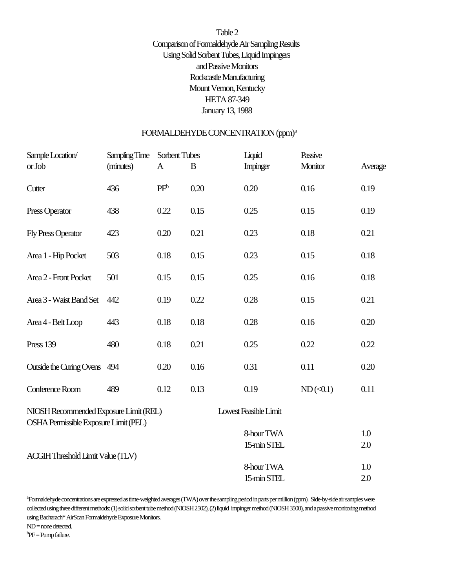# Table 2 Comparison of Formaldehyde Air Sampling Results Using Solid Sorbent Tubes, Liquid Impingers and Passive Monitors Rockcastle Manufacturing Mount Vernon, Kentucky HETA 87-349 January 13, 1988

#### FORMALDEHYDE CONCENTRATION (ppm)<sup>a</sup>

| Sample Location/                         | Sampling Time | Sorbent Tubes |      | Liquid                | Passive        |         |
|------------------------------------------|---------------|---------------|------|-----------------------|----------------|---------|
| or Job                                   | (minutes)     | A             | B    | Impinger              | Monitor        | Average |
| Cutter                                   | 436           | $PF^b$        | 0.20 | 0.20                  | 0.16           | 0.19    |
| Press Operator                           | 438           | 0.22          | 0.15 | 0.25                  | 0.15           | 0.19    |
| <b>Fly Press Operator</b>                | 423           | 0.20          | 0.21 | 0.23                  | 0.18           | 0.21    |
| Area 1 - Hip Pocket                      | 503           | 0.18          | 0.15 | 0.23                  | 0.15           | 0.18    |
| Area 2 - Front Pocket                    | 501           | 0.15          | 0.15 | 0.25                  | 0.16           | 0.18    |
| Area 3 - Waist Band Set                  | 442           | 0.19          | 0.22 | 0.28                  | 0.15           | 0.21    |
| Area 4 - Belt Loop                       | 443           | 0.18          | 0.18 | 0.28                  | 0.16           | 0.20    |
| <b>Press 139</b>                         | 480           | 0.18          | 0.21 | 0.25                  | 0.22           | 0.22    |
| Outside the Curing Ovens 494             |               | 0.20          | 0.16 | 0.31                  | 0.11           | 0.20    |
| Conference Room                          | 489           | 0.12          | 0.13 | 0.19                  | $ND(\leq 0.1)$ | 0.11    |
| NIOSH Recommended Exposure Limit (REL)   |               |               |      | Lowest Feasible Limit |                |         |
| OSHA Permissible Exposure Limit (PEL)    |               |               |      | 8-hour TWA            |                | 1.0     |
|                                          |               |               |      | 15-min STEL           |                | 2.0     |
| <b>ACGIH Threshold Limit Value (TLV)</b> |               |               |      |                       |                |         |
|                                          |               |               |      | 8-hour TWA            |                | 1.0     |
|                                          |               |               |      | 15-min STEL           |                | 2.0     |

<sup>a</sup>Formaldehyde concentrations are expressed as time-weighted averages (TWA) over the sampling period in parts per million (ppm). Side-by-side air samples were collected using three different methods: (1) solid sorbent tube method (NIOSH 2502), (2) liquid impinger method (NIOSH 3500), and a passive monitoring method using Bacharach\* AirScan Formaldehyde Exposure Monitors.

ND = none detected.

 ${}^{b}PF =$  Pump failure.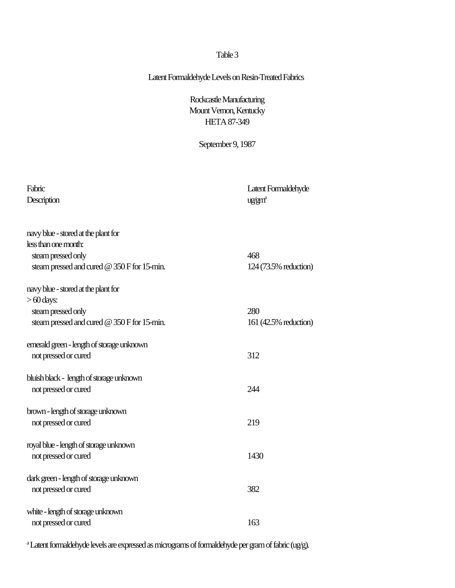### Latent Formaldehyde Levels on Resin-Treated Fabrics

Rockcastle Manufacturing Mount Vernon, Kentucky HETA 87-349

September 9, 1987

| Fabric<br>Description                       | Latent Formaldehyde<br>ug/gm <sup>a</sup> |
|---------------------------------------------|-------------------------------------------|
| navy blue - stored at the plant for         |                                           |
| less than one month:                        |                                           |
| steam pressed only                          | 468                                       |
| steam pressed and cured @ 350 F for 15-min. | 124 (73.5% reduction)                     |
| navy blue - stored at the plant for         |                                           |
| $>60$ days:                                 |                                           |
| steam pressed only                          | 280                                       |
| steam pressed and cured @ 350 F for 15-min. | 161 (42.5% reduction)                     |
| emerald green - length of storage unknown   |                                           |
| not pressed or cured                        | 312                                       |
| bluish black - length of storage unknown    |                                           |
| not pressed or cured                        | 244                                       |
|                                             |                                           |
| brown - length of storage unknown           |                                           |
| not pressed or cured                        | 219                                       |
| royal blue - length of storage unknown      |                                           |
| not pressed or cured                        | 1430                                      |
|                                             |                                           |
| dark green - length of storage unknown      |                                           |
| not pressed or cured                        | 382                                       |
| white - length of storage unknown           |                                           |
| not pressed or cured                        | 163                                       |
|                                             |                                           |

<sup>a</sup> Latent formaldehyde levels are expressed as micrograms of formaldehyde per gram of fabric (ug/g).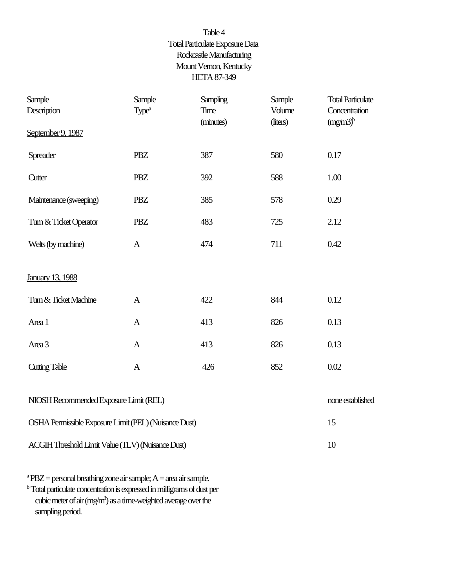# Table 4 Total Particulate Exposure Data Rockcastle Manufacturing Mount Vernon, Kentucky HETA 87-349

| Sample<br>Description                                 | Sample<br>Type <sup>a</sup> | Sampling<br><b>Time</b><br>(minutes) | Sample<br>Volume<br>(liters) | <b>Total Particulate</b><br>Concentration<br>$(mg/m3)^b$ |
|-------------------------------------------------------|-----------------------------|--------------------------------------|------------------------------|----------------------------------------------------------|
| September 9, 1987                                     |                             |                                      |                              |                                                          |
| Spreader                                              | <b>PBZ</b>                  | 387                                  | 580                          | 0.17                                                     |
| Cutter                                                | <b>PBZ</b>                  | 392                                  | 588                          | 1.00                                                     |
| Maintenance (sweeping)                                | <b>PBZ</b>                  | 385                                  | 578                          | 0.29                                                     |
| Turn & Ticket Operator                                | <b>PBZ</b>                  | 483                                  | 725                          | 2.12                                                     |
| Welts (by machine)                                    | $\mathbf{A}$                | 474                                  | 711                          | 0.42                                                     |
| January 13, 1988                                      |                             |                                      |                              |                                                          |
| Turn & Ticket Machine                                 | $\mathbf{A}$                | 422                                  | 844                          | 0.12                                                     |
| Area 1                                                | $\mathbf{A}$                | 413                                  | 826                          | 0.13                                                     |
| Area 3                                                | $\mathbf{A}$                | 413                                  | 826                          | 0.13                                                     |
| <b>Cutting Table</b>                                  | $\mathbf{A}$                | 426                                  | 852                          | 0.02                                                     |
| NIOSH Recommended Exposure Limit (REL)                | none established            |                                      |                              |                                                          |
| OSHA Permissible Exposure Limit (PEL) (Nuisance Dust) |                             |                                      |                              | 15                                                       |
| ACGIH Threshold Limit Value (TLV) (Nuisance Dust)     |                             |                                      |                              | 10                                                       |
|                                                       |                             |                                      |                              |                                                          |

<sup>a</sup> PBZ = personal breathing zone air sample; A = area air sample. **b** Total particulate concentration is expressed in milligrams of dust per cubic meter of air (mg/m<sup>3</sup>) as a time-weighted average over the sampling period.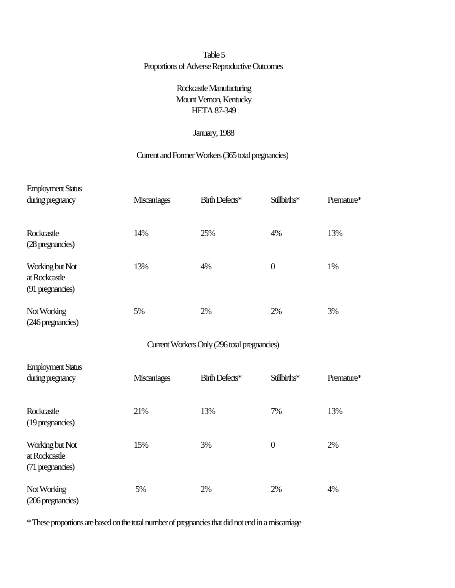# Table 5 Proportions of Adverse Reproductive Outcomes

# Rockcastle Manufacturing Mount Vernon, Kentucky HETA 87-349

### January, 1988

### Current and Former Workers (365 total pregnancies)

| <b>Employment Status</b>                             |                    |                                              |                  |            |
|------------------------------------------------------|--------------------|----------------------------------------------|------------------|------------|
| during pregnancy                                     | <b>Miscariages</b> | Birth Defects*                               | Stillbirths*     | Premature* |
| Rockcastle<br>(28 pregnancies)                       | 14%                | 25%                                          | 4%               | 13%        |
| Working but Not<br>at Rockcastle<br>(91 pregnancies) | 13%                | 4%                                           | $\boldsymbol{0}$ | 1%         |
| Not Working<br>(246 pregnancies)                     | 5%                 | 2%                                           | 2%               | 3%         |
|                                                      |                    | Current Workers Only (296 total pregnancies) |                  |            |
| <b>Employment Status</b><br>during pregnancy         | Miscariages        | Birth Defects*                               | Stillbirths*     | Premature* |
| Rockcastle<br>(19 pregnancies)                       | 21%                | 13%                                          | 7%               | 13%        |
| Working but Not<br>at Rockcastle<br>(71 pregnancies) | 15%                | 3%                                           | $\boldsymbol{0}$ | 2%         |
| Not Working<br>(206 pregnancies)                     | 5%                 | 2%                                           | 2%               | 4%         |

\* These proportions are based on the total number of pregnancies that did not end in a miscarriage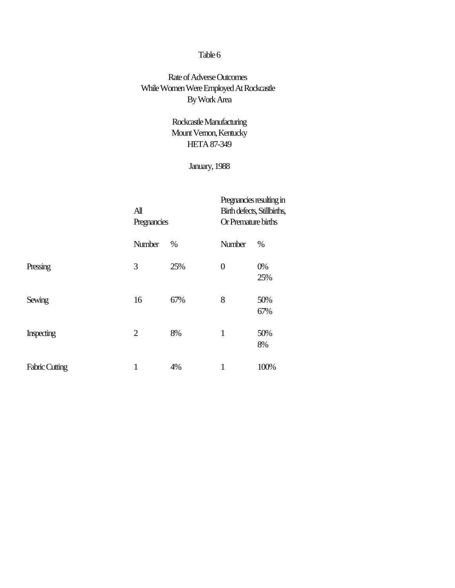# Rate of Adverse Outcomes While Women Were Employed At Rockcastle By Work Area

# Rockcastle Manufacturing Mount Vernon, Kentucky HETA 87-349

# January, 1988

|                       | $\mathbf{A}$ ll<br>Pregnancies |      | Pregnancies resulting in<br>Birth defects, Stillbirths,<br>Or Premature births |            |
|-----------------------|--------------------------------|------|--------------------------------------------------------------------------------|------------|
|                       | Number                         | $\%$ | Number                                                                         | $\%$       |
| Pressing              | 3                              | 25%  | $\overline{0}$                                                                 | 0%<br>25%  |
| Sewing                | 16                             | 67%  | 8                                                                              | 50%<br>67% |
| <b>Inspecting</b>     | $\overline{2}$                 | 8%   | 1                                                                              | 50%<br>8%  |
| <b>Fabric Cutting</b> | 1                              | 4%   | 1                                                                              | 100%       |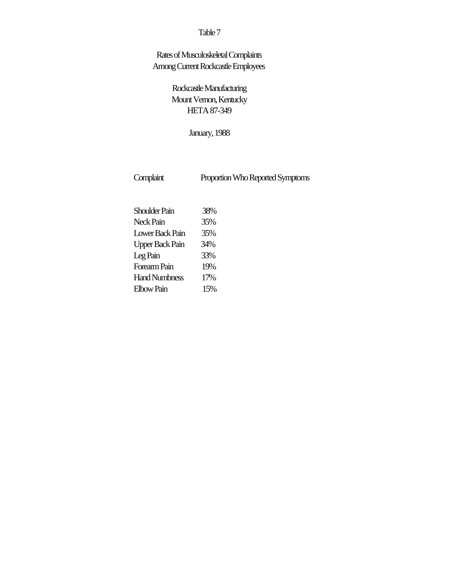# Rates of Musculoskeletal Complaints Among Current Rockcastle Employees

Rockcastle Manufacturing Mount Vernon, Kentucky HETA 87-349

January, 1988

Complaint Proportion Who Reported Symptoms

| <b>Shoulder Pain</b>   | 38% |
|------------------------|-----|
| Neck Pain              | 35% |
| Lower Back Pain        | 35% |
| <b>Upper Back Pain</b> | 34% |
| Leg Pain               | 33% |
| Forearm Pain           | 19% |
| <b>Hand Numbness</b>   | 17% |
| <b>Elbow Pain</b>      | 15% |
|                        |     |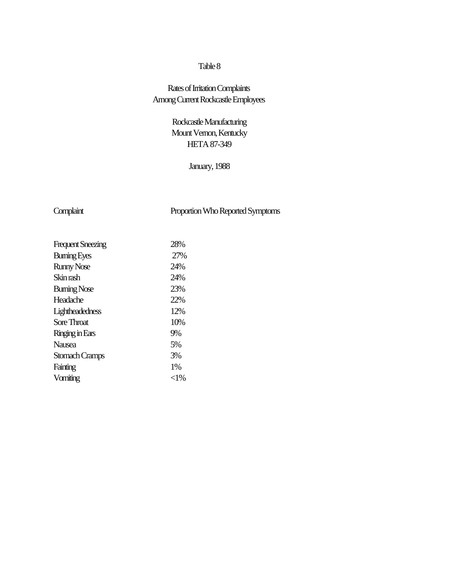# Rates of Irritation Complaints Among Current Rockcastle Employees

# Rockcastle Manufacturing Mount Vernon, Kentucky HETA 87-349

### January, 1988

# Complaint Proportion Who Reported Symptoms

| <b>Frequent Sneezing</b> | 28%    |
|--------------------------|--------|
| <b>Buming Eyes</b>       | 27%    |
| <b>Runny Nose</b>        | 24%    |
| Skin rash                | 24%    |
| <b>Buming Nose</b>       | 23%    |
| Headache                 | 22%    |
| Lightheadedness          | 12%    |
| Sore Throat              | 10%    |
| Ringing in Ears          | 9%     |
| <b>Nausea</b>            | 5%     |
| Stomach Cramps           | 3%     |
| Fainting                 | 1%     |
| Vomiting                 | $<$ 1% |